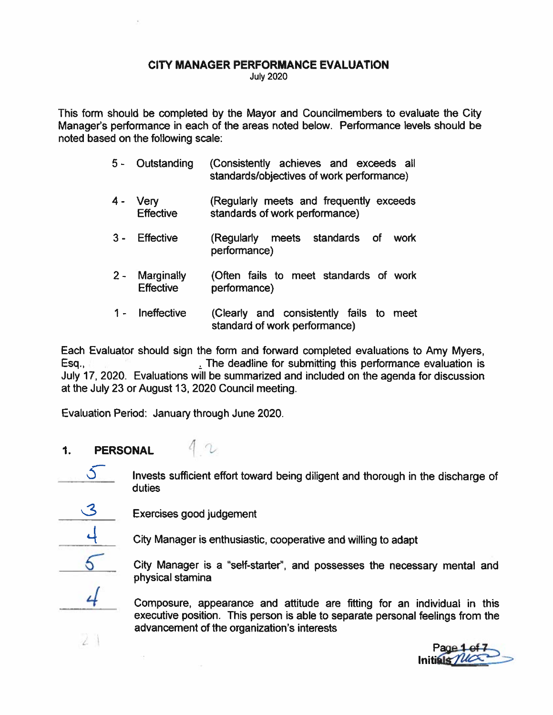#### CITY MANAGER PERFORMANCE EVALUATION July 2020

This form should be completed by the Mayor and Councilmembers to evaluate the City Manager's performance in each of the areas noted below. Performance levels should be noted based on the following scale:

- 5 Outstanding (Consistently achieves and exceeds all standards/objectives of work performance)
- 4 Very (Regularly meets and frequently exceeds Effective standards of work performance)
- 3 Effective (Regularly meets standards of work performance)
- 2 Marginally (Often fails to meet standards of work Effective performance)
- 1 Ineffective (Clearly and consistently fails to meet standard of work performance)

Each Evaluator should sign the form and forward completed evaluations to Amy Myers, Esq., The deadline for submitting this performance evaluation is July 17, 2020. Evaluations will be summarized and included on the agenda for discussion at the July 23 or August 13, 2020 Council meeting. CI<br>
This form should be<br>
Manager's performan<br>
noted based on the fo<br>
5 - Outs<br>
4 - Very<br>
Effec<br>
3 - Effec<br>
2 - Marg<br>
Effec<br>
2 - Marg<br>
Effec<br>
1 - Ineff<br>
Each Evaluator shou<br>
Esq., I<br>
July 17, 2020. Evalu<br>
at the July 23 or CITY MANAGER PERFORMANCE EVALUATION<br>
Units form should be completed by the Mayor and Councilmembers to eval<br>
Manager's performance in each of the areas noted below. Performance leverative and response to a standards of th

Evaluation Period: January through June 2020.

- 1. PERSONAL
	- Invests sufficient effort toward being diligent and thorough in the discharge of

Exercises good judgement

 $\sim$ 

 $\lambda$ 

City Manager is <sup>a</sup> "self-starter", and possesses the necessary mental and physical stamina

4 Composure, appearance and attitude are fitting for an individual in this executive position. This person is able to separate personal feelings from the advancement of the organization's interests

Initials The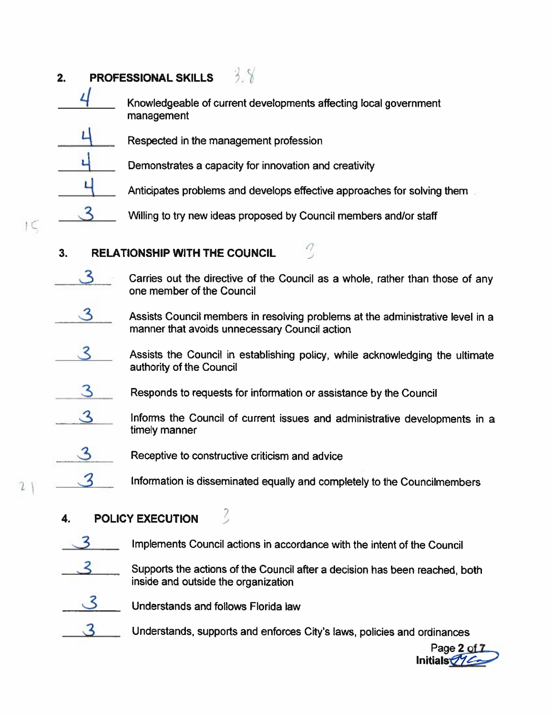## 2. PROFESSIONAL SKILLS **PROFESSIONAL SK**<br>  $\frac{4}{\sqrt{2}}$  Knowledgeak<br>
management

- Knowledgeable of current developments affecting local government PROFESSIONAL SKILLS  $\frac{3}{2}$ <br>
Knowledgeable of current developments a<br>
management<br>  $\frac{4}{1}$  Respected in the management profession PROFESSIONAL SKILLS<br>  $\frac{2}{\sqrt{1-\frac{1}{\sqrt{1-\frac{1}{\sqrt{1-\frac{1}{\sqrt{1-\frac{1}{\sqrt{1-\frac{1}{\sqrt{1-\frac{1}{\sqrt{1-\frac{1}{\sqrt{1-\frac{1}{\sqrt{1-\frac{1}{\sqrt{1-\frac{1}{\sqrt{1-\frac{1}{\sqrt{1-\frac{1}{\sqrt{1-\frac{1}{\sqrt{1-\frac{1}{\sqrt{1-\frac{1}{\sqrt{1-\frac{1}{\sqrt{1-\frac{1}{\sqrt{1-\frac{1}{\sqrt{1-\frac{1}{\sqrt{1-\frac{1}{\sqrt{1-\frac{1}{\sqrt{1-\$ 
	-
	- Demonstrates <sup>a</sup> capacity for innovation and creativity
		-
	- Willing to try new ideas proposed by Council members and/or staff

### 3. RELATIONSHIP WITH THE COUNCIL

- $3$  Carries out the directive of the Council as a whole, rather than those of any one member of the Council
- $3$  Assists Council members in resolving problems at the administrative level in a manner that avoids unnecessary Council action
- $\mathcal S$  Assists the Council in establishing policy, while acknowledging the ultimate authority of the Council **EXECUTION ACTER COUNCIL**<br> **EXECUTED ACTES CONDINER CONSIDERATIONS INTERNATION CONSIDERATIONS INTERNATIONS INTERNATIONS INTERNATIONS INTERNATIONS INTERNATIONS INTERNATIONS INTERNATIONS INTERNATIONS INTERNATIONS INTERNATIO**
- $3$  Responds to requests for information or assistance by the Council
	- '.2 Informs the Council of current issues and administrative developments in <sup>a</sup> timely manner
- Receptive to constructive criticism and advice
- $\mathcal{S}$  Information is disseminated equally and completely to the Councilmembers

## POLICY EXECUTION

- - 3 Supports the actions of the Council after <sup>a</sup> decision has been reached, both inside and outside the organization

3

 $IC$ 

 $21$ 

- Understands and follows Florida law
- $3$  Understands, supports and enforces City's laws, policies and ordinances

Page 2 of 7 Initials 714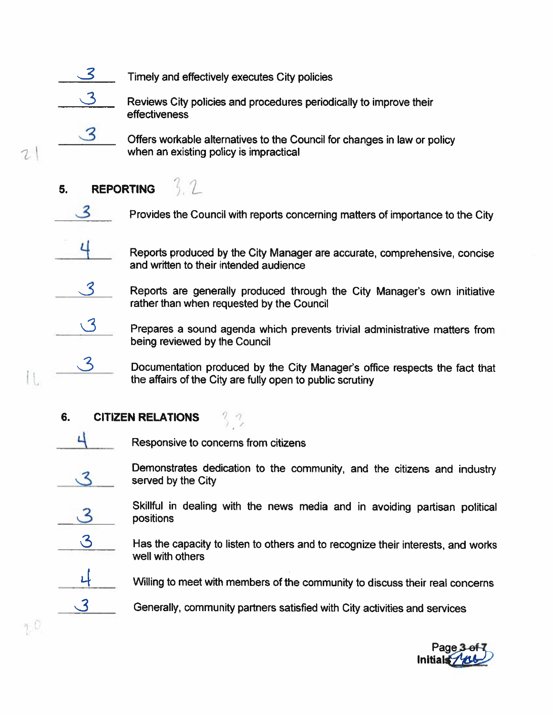

 $\mathbf{3}$ 

 $\mathcal{L}$ 

I t

 $20$ 

3

Reviews City policies and procedures periodically to improve their effectiveness

Offers workable alternatives to the Council for changes in law or policy when an existing policy is impractical

#### $3.2$ **REPORTING** 5.

3

ц

 $\mathcal{S}$ 

 $\sqrt{3}$ 

3

Provides the Council with reports concerning matters of importance to the City

Reports produced by the City Manager are accurate, comprehensive, concise and written to their intended audience

Reports are generally produced through the City Manager's own initiative rather than when requested by the Council

Prepares a sound agenda which prevents trivial administrative matters from being reviewed by the Council

Documentation produced by the City Manager's office respects the fact that the affairs of the City are fully open to public scrutiny

#### 6. **CITIZEN RELATIONS**



ス

Responsive to concerns from citizens

 $\frac{3}{2}$ 

Demonstrates dedication to the community, and the citizens and industry served by the City

 $\mathbf{3}$ 

 $\mathcal{S}% _{M_{1},M_{2}}^{\alpha,\beta}(\varepsilon)$ 

 $\mathcal{S}$ 

Skillful in dealing with the news media and in avoiding partisan political positions

Has the capacity to listen to others and to recognize their interests, and works well with others

Willing to meet with members of the community to discuss their real concerns

Generally, community partners satisfied with City activities and services

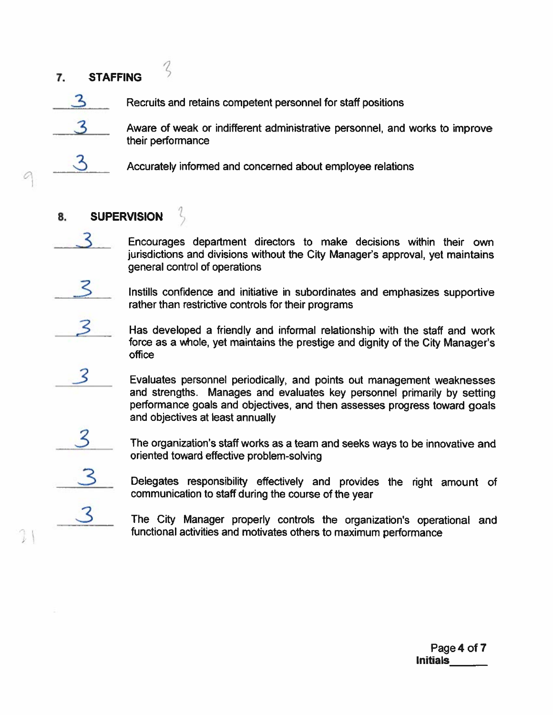# 7. STAFFING 7. **STAFFING**<br>  $\frac{3}{3}$  Recruits and retain<br>  $\frac{3}{3}$  Aware of weak of their performance



Recruits and retains competent personnel for staff positions



Accurately informed and concerned about employee relations

## 8. SUPERVISION

Encourages department directors to make decisions within their own jurisdictions and divisions without the City Manager's approval, ye<sup>t</sup> maintains general control of operations

Aware of weak or indifferent administrative personnel, and works to improve

 $\leq$  lnstills confidence and initiative in subordinates and emphasizes supportive rather than restrictive controls for their programs

 $\mathcal{S}$  Has developed a friendly and informal relationship with the staff and work force as <sup>a</sup> whole, ye<sup>t</sup> maintains the prestige and dignity of the City Manager's office

Evaluates personnel periodically, and points out management weaknesses and strengths. Manages and evaluates key personne<sup>l</sup> primarily by setting performance goals and objectives, and then assesses progress toward goals and objectives at least annually To state of the same of the same of the same of the same of the same of the same of the same of the same of the same of the same of the same of the same of the same of the same of the same of the same of the same of the s

The organization's staff works as a team and seeks ways to be innovative and

Delegates responsibility effectively and provides the right amount of communication to staff during the course of the year

The City Manager properly controls the organization's operational and functional activities and motivates others to maximum performance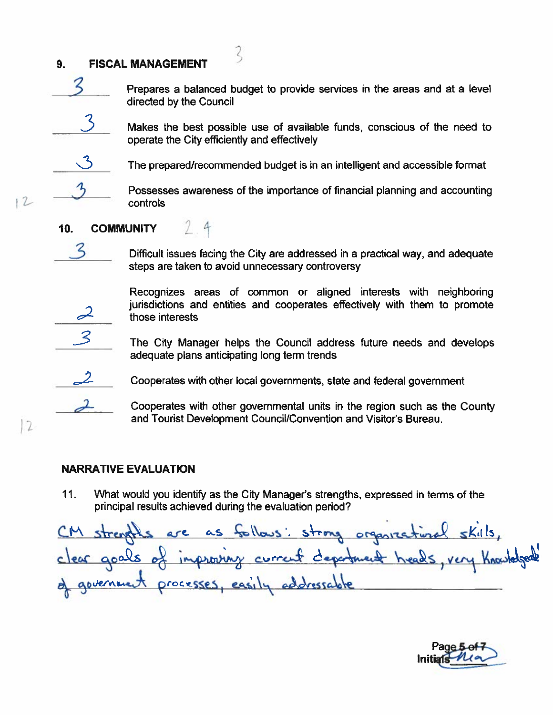#### 9. FISCAL MANAGEMENT



 $3$  Prepares a balanced budget to provide services in the areas and at a level 9. FISCAL MANAGEMENT<br>
Prepares a balanced by the Council

3

- Makes the best possible use of available funds, conscious of the need to CAL MANAGEMENT<br>
Prepares a balanced budget to provide<br>
directed by the Council<br>
Alakes the best possible use of availal<br>
operate the City efficiently and effectively 9. FISCAL MANAGEMENT<br>
Prepares a baland<br>
directed by the Cc<br>
3. Makes the best poperate the City e<br>
The prepared/reco<br>
2. Possesses aware<br>
controls<br>
10. COMMUNITY **FISCAL MANAGEMENT**<br> **Frepares a balanced budget to provide services in the areas and at a level<br>
directed by the Council<br>
Makes the best possible use of available funds, conscious of the need to<br>
operate the City efficie**
- 

 $12$ 

 $\sqrt{2}$ 

The prepared/recommended budget is in an intelligent and accessible format

Possesses awareness of the importance of financial planning and accounting controls

Difficult issues facing the City are addressed in <sup>a</sup> practical way, and adequate steps are taken to avoid unnecessary controversy

Recognizes areas of common or aligned interests with neighboring 9. FISCAL MANAGEMENT<br>
Prepares a ball<br>
directed by the<br>
Makes the best<br>
operate the Cit<br>
The prepared/r<br>
The prepared/r<br>
Possesses aw<br>
controls<br>
10. COMMUNITY<br>
3. Difficult issues<br>
steps are taken<br>
Recognizes<br>
a jurisdicti 9. **FISCAL MANAGEMENT**<br>
Prepares a balanced budget to provide services in the areas and at a<br>
directed by the Council<br>
Makes the best possible use of available funds, conscious of the ne<br>
operate the City efficiently and

The City Manager helps the Council address future needs and develops

Cooperates with other governmental units in the region such as the County and Tourist Development Council/Convention and Visitor's Bureau.

#### NARRATIVE EVALUATION

11. What would you identify as the City Manager's strengths, expressed in terms of the principal results achieved during the evaluation period?

are as follows: strong organizational skills, goals of improving current of government processes, easily addressable

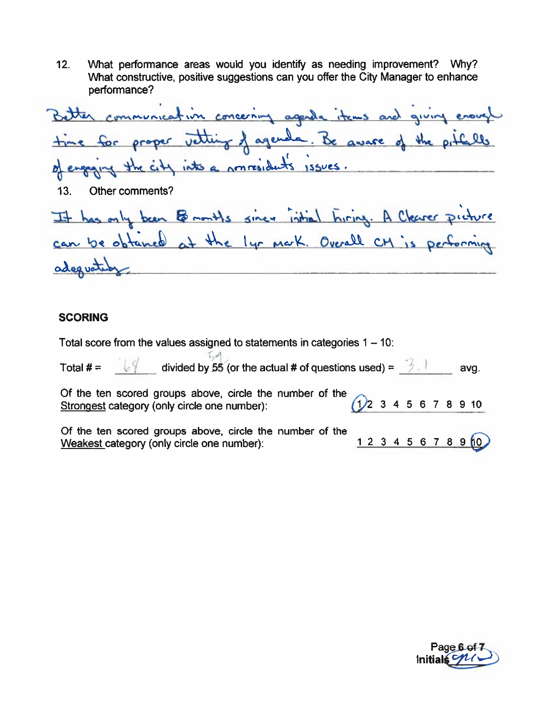$12.$ What performance areas would you identify as needing improvement? Why? What constructive, positive suggestions can you offer the City Manager to enhance performance?

Better communication concerning agenda items and giving enough time for proper vetting of agenda. Be aware of the pitcells engaging the city into a nonresidents issues. d)  $13.$ Other comments? It has only been Bononths since initial hiring. A Clearer picture adequated

#### **SCORING**

Total score from the values assigned to statements in categories  $1 - 10$ :

| Total # = $\sqrt{2}$ divided by 55 (or the actual # of questions used) = $\frac{3}{2}$                                               |             |  |  |  | avg. |
|--------------------------------------------------------------------------------------------------------------------------------------|-------------|--|--|--|------|
| Of the ten scored groups above, circle the number of the<br>Strongest category (only circle one number):<br>$(1)$ 2 3 4 5 6 7 8 9 10 |             |  |  |  |      |
| Of the ten scored groups above, circle the number of the<br>Weakest category (only circle one number):                               | 12345678910 |  |  |  |      |